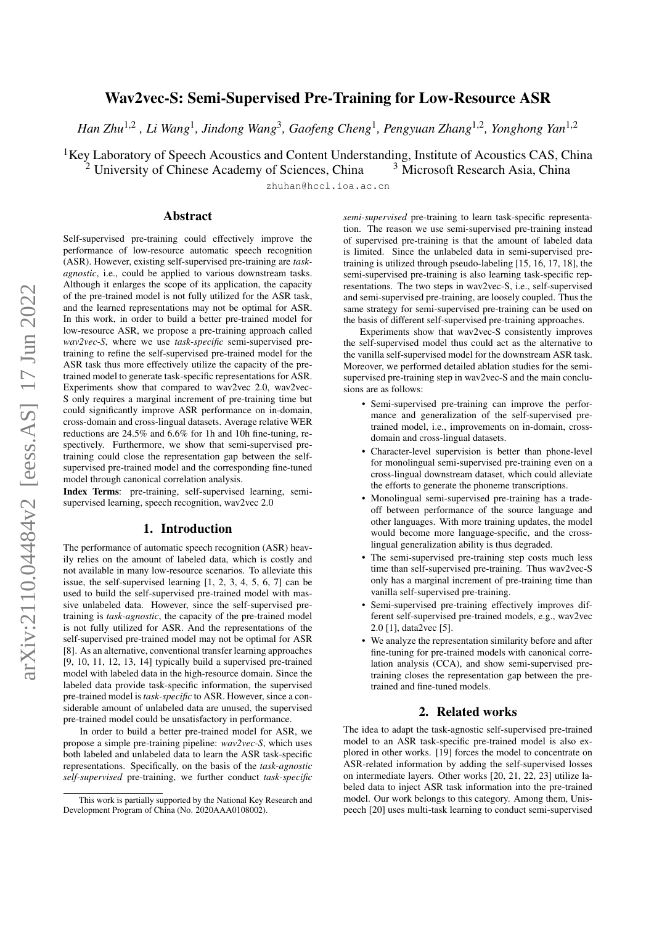# Wav2vec-S: Semi-Supervised Pre-Training for Low-Resource ASR

*Han Zhu*1,<sup>2</sup> *, Li Wang*<sup>1</sup> *, Jindong Wang*<sup>3</sup> *, Gaofeng Cheng*<sup>1</sup> *, Pengyuan Zhang*1,<sup>2</sup> *, Yonghong Yan*1,<sup>2</sup>

<sup>1</sup>Key Laboratory of Speech Acoustics and Content Understanding, Institute of Acoustics CAS, China<sup>2</sup> University of Chinese Academy of Sciences, China<sup>3</sup> Microsoft Research Asia, China

 $2$  University of Chinese Academy of Sciences, China

zhuhan@hccl.ioa.ac.cn

# Abstract

Self-supervised pre-training could effectively improve the performance of low-resource automatic speech recognition (ASR). However, existing self-supervised pre-training are *taskagnostic*, i.e., could be applied to various downstream tasks. Although it enlarges the scope of its application, the capacity of the pre-trained model is not fully utilized for the ASR task, and the learned representations may not be optimal for ASR. In this work, in order to build a better pre-trained model for low-resource ASR, we propose a pre-training approach called *wav2vec-S*, where we use *task-specific* semi-supervised pretraining to refine the self-supervised pre-trained model for the ASR task thus more effectively utilize the capacity of the pretrained model to generate task-specific representations for ASR. Experiments show that compared to wav2vec 2.0, wav2vec-S only requires a marginal increment of pre-training time but could significantly improve ASR performance on in-domain, cross-domain and cross-lingual datasets. Average relative WER reductions are 24.5% and 6.6% for 1h and 10h fine-tuning, respectively. Furthermore, we show that semi-supervised pretraining could close the representation gap between the selfsupervised pre-trained model and the corresponding fine-tuned model through canonical correlation analysis.

Index Terms: pre-training, self-supervised learning, semisupervised learning, speech recognition, wav2vec 2.0

# 1. Introduction

The performance of automatic speech recognition (ASR) heavily relies on the amount of labeled data, which is costly and not available in many low-resource scenarios. To alleviate this issue, the self-supervised learning [\[1,](#page-4-0) [2,](#page-4-1) [3,](#page-4-2) [4,](#page-4-3) [5,](#page-4-4) [6,](#page-4-5) [7\]](#page-4-6) can be used to build the self-supervised pre-trained model with massive unlabeled data. However, since the self-supervised pretraining is *task-agnostic*, the capacity of the pre-trained model is not fully utilized for ASR. And the representations of the self-supervised pre-trained model may not be optimal for ASR [\[8\]](#page-4-7). As an alternative, conventional transfer learning approaches [\[9,](#page-4-8) [10,](#page-4-9) [11,](#page-4-10) [12,](#page-4-11) [13,](#page-4-12) [14\]](#page-4-13) typically build a supervised pre-trained model with labeled data in the high-resource domain. Since the labeled data provide task-specific information, the supervised pre-trained model is*task-specific* to ASR. However, since a considerable amount of unlabeled data are unused, the supervised pre-trained model could be unsatisfactory in performance.

In order to build a better pre-trained model for ASR, we propose a simple pre-training pipeline: *wav2vec-S*, which uses both labeled and unlabeled data to learn the ASR task-specific representations. Specifically, on the basis of the *task-agnostic self-supervised* pre-training, we further conduct *task-specific*

*semi-supervised* pre-training to learn task-specific representation. The reason we use semi-supervised pre-training instead of supervised pre-training is that the amount of labeled data is limited. Since the unlabeled data in semi-supervised pretraining is utilized through pseudo-labeling [\[15,](#page-4-14) [16,](#page-4-15) [17,](#page-4-16) [18\]](#page-4-17), the semi-supervised pre-training is also learning task-specific representations. The two steps in wav2vec-S, i.e., self-supervised and semi-supervised pre-training, are loosely coupled. Thus the same strategy for semi-supervised pre-training can be used on the basis of different self-supervised pre-training approaches.

Experiments show that wav2vec-S consistently improves the self-supervised model thus could act as the alternative to the vanilla self-supervised model for the downstream ASR task. Moreover, we performed detailed ablation studies for the semisupervised pre-training step in wav2vec-S and the main conclusions are as follows:

- Semi-supervised pre-training can improve the performance and generalization of the self-supervised pretrained model, i.e., improvements on in-domain, crossdomain and cross-lingual datasets.
- Character-level supervision is better than phone-level for monolingual semi-supervised pre-training even on a cross-lingual downstream dataset, which could alleviate the efforts to generate the phoneme transcriptions.
- Monolingual semi-supervised pre-training has a tradeoff between performance of the source language and other languages. With more training updates, the model would become more language-specific, and the crosslingual generalization ability is thus degraded.
- The semi-supervised pre-training step costs much less time than self-supervised pre-training. Thus wav2vec-S only has a marginal increment of pre-training time than vanilla self-supervised pre-training.
- Semi-supervised pre-training effectively improves different self-supervised pre-trained models, e.g., wav2vec 2.0 [\[1\]](#page-4-0), data2vec [\[5\]](#page-4-4).
- We analyze the representation similarity before and after fine-tuning for pre-trained models with canonical correlation analysis (CCA), and show semi-supervised pretraining closes the representation gap between the pretrained and fine-tuned models.

# 2. Related works

The idea to adapt the task-agnostic self-supervised pre-trained model to an ASR task-specific pre-trained model is also explored in other works. [\[19\]](#page-4-18) forces the model to concentrate on ASR-related information by adding the self-supervised losses on intermediate layers. Other works [\[20,](#page-4-19) [21,](#page-4-20) [22,](#page-4-21) [23\]](#page-4-22) utilize labeled data to inject ASR task information into the pre-trained model. Our work belongs to this category. Among them, Unispeech [\[20\]](#page-4-19) uses multi-task learning to conduct semi-supervised

This work is partially supported by the National Key Research and Development Program of China (No. 2020AAA0108002).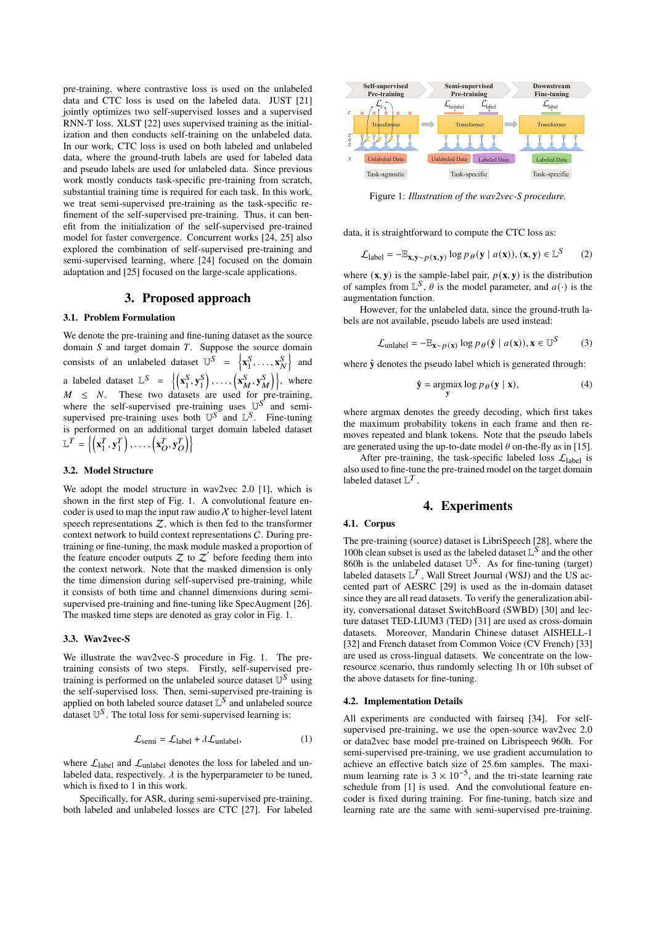pre-training, where contrastive loss is used on the unlabeled data and CTC loss is used on the labeled data. JUST [\[21\]](#page-4-20) jointly optimizes two self-supervised losses and a supervised RNN-T loss. XLST [\[22\]](#page-4-21) uses supervised training as the initialization and then conducts self-training on the unlabeled data. In our work, CTC loss is used on both labeled and unlabeled data, where the ground-truth labels are used for labeled data and pseudo labels are used for unlabeled data. Since previous work mostly conducts task-specific pre-training from scratch, substantial training time is required for each task. In this work, we treat semi-supervised pre-training as the task-specific refinement of the self-supervised pre-training. Thus, it can benefit from the initialization of the self-supervised pre-trained model for faster convergence. Concurrent works [\[24,](#page-4-23) [25\]](#page-4-24) also explored the combination of self-supervised pre-training and semi-supervised learning, where [\[24\]](#page-4-23) focused on the domain adaptation and [\[25\]](#page-4-24) focused on the large-scale applications.

# 3. Proposed approach

### 3.1. Problem Formulation

We denote the pre-training and fine-tuning dataset as the source domain  $S$  and target domain  $T$ . Suppose the source domain consists of an unlabeled dataset  $\mathbb{U}^S = \begin{cases} \mathbf{x}_1^S, \mathbf{x}_2^S, \mathbf{x}_3^S, \mathbf{x}_4^S, \mathbf{x}_5^S, \mathbf{x}_6^S, \mathbf{x}_7^S, \mathbf{x}_9^S, \mathbf{x}_1^S, \mathbf{x}_1^S, \mathbf{x}_2^S, \mathbf{x}_3^S, \mathbf{x}_4^S, \mathbf{x}_4^S, \mathbf{x}_5^S, \mathbf{x}_6^S, \mathbf{x}_7^S, \mathbf{x}_8^S, \mathbf{x}_9^S, \math$  $\left\{\frac{S}{1}, \ldots, \mathbf{x}_N^S\right\}$  and a labeled dataset  $\mathbb{L}^S = \{(\mathbf{x}_1^S)$  $S_1, S_1^S$  $\left\{ \mathbf{x}_{M}^{\mathrm{S}}, \mathbf{y}_{M}^{\mathrm{S}} \right\}$ , where  $M \leq N$ . These two datasets are used for pre-training, where the self-supervised pre-training uses  $\mathbb{U}^{S}$  and semisupervised pre-training uses both  $\mathbb{U}^{S}$  and  $\mathbb{L}^{S}$ . Fine-tuning is performed on an additional target domain labeled dataset  $\mathbb{L}^T = \left\{ \begin{pmatrix} \mathbf{x}_1^T \end{pmatrix} \right\}$  $T_1, y_1^T$  $\left\{\mathbf{x}^T_0, \mathbf{y}^T_O\right\}\right\}$ 

#### 3.2. Model Structure

We adopt the model structure in wav2vec 2.0 [\[1\]](#page-4-0), which is shown in the first step of [Fig. 1.](#page-1-0) A convolutional feature encoder is used to map the input raw audio  $X$  to higher-level latent speech representations  $Z$ , which is then fed to the transformer context network to build context representations C. During pretraining or fine-tuning, the mask module masked a proportion of the feature encoder outputs  $Z$  to  $Z'$  before feeding them into the context network. Note that the masked dimension is only the time dimension during self-supervised pre-training, while it consists of both time and channel dimensions during semisupervised pre-training and fine-tuning like SpecAugment [\[26\]](#page-4-25). The masked time steps are denoted as gray color in [Fig. 1.](#page-1-0)

#### 3.3. Wav2vec-S

We illustrate the wav2vec-S procedure in [Fig. 1.](#page-1-0) The pretraining consists of two steps. Firstly, self-supervised pretraining is performed on the unlabeled source dataset  $\mathbb{U}^S$  using the self-supervised loss. Then, semi-supervised pre-training is applied on both labeled source dataset  $\mathbb{L}^S$  and unlabeled source dataset  $\mathbb{U}^S$ . The total loss for semi-supervised learning is:

$$
\mathcal{L}_{semi} = \mathcal{L}_{label} + \lambda \mathcal{L}_{unlabel}, \tag{1}
$$

where  $\mathcal{L}_{\text{label}}$  and  $\mathcal{L}_{\text{unlabel}}$  denotes the loss for labeled and unlabeled data, respectively.  $\lambda$  is the hyperparameter to be tuned, which is fixed to 1 in this work.

Specifically, for ASR, during semi-supervised pre-training, both labeled and unlabeled losses are CTC [\[27\]](#page-4-26). For labeled

<span id="page-1-0"></span>

Figure 1: *Illustration of the wav2vec-S procedure.*

data, it is straightforward to compute the CTC loss as:

$$
\mathcal{L}_{\text{label}} = -\mathbb{E}_{\mathbf{x}, \mathbf{y} \sim p(\mathbf{x}, \mathbf{y})} \log p_{\theta}(\mathbf{y} \mid a(\mathbf{x})), (\mathbf{x}, \mathbf{y}) \in \mathbb{L}^{S} \tag{2}
$$

where  $(\mathbf{x}, \mathbf{y})$  is the sample-label pair,  $p(\mathbf{x}, \mathbf{y})$  is the distribution of samples from  $\mathbb{L}^S$ ,  $\theta$  is the model parameter, and  $a(\cdot)$  is the augmentation function.

However, for the unlabeled data, since the ground-truth labels are not available, pseudo labels are used instead:

$$
\mathcal{L}_{\text{unlabel}} = -\mathbb{E}_{\mathbf{x} \sim p(\mathbf{x})} \log p_{\theta}(\hat{\mathbf{y}} \mid a(\mathbf{x})), \mathbf{x} \in \mathbb{U}^S \tag{3}
$$

where  $\hat{y}$  denotes the pseudo label which is generated through:

$$
\hat{\mathbf{y}} = \underset{\mathbf{y}}{\text{argmax}} \log p_{\theta}(\mathbf{y} \mid \mathbf{x}),\tag{4}
$$

where argmax denotes the greedy decoding, which first takes the maximum probability tokens in each frame and then removes repeated and blank tokens. Note that the pseudo labels are generated using the up-to-date model  $\theta$  on-the-fly as in [\[15\]](#page-4-14).

After pre-training, the task-specific labeled loss  $\mathcal{L}_{\text{label}}$  is also used to fine-tune the pre-trained model on the target domain labeled dataset  $\mathbb{L}^T$ .

# 4. Experiments

### 4.1. Corpus

The pre-training (source) dataset is LibriSpeech [\[28\]](#page-4-27), where the 100h clean subset is used as the labeled dataset  $\mathbb{L}^S$  and the other  $860h$  is the unlabeled dataset  $\mathbb{U}^S$ . As for fine-tuning (target) labeled datasets  $\mathbb{L}^T$ , Wall Street Journal (WSJ) and the US accented part of AESRC [\[29\]](#page-4-28) is used as the in-domain dataset since they are all read datasets. To verify the generalization ability, conversational dataset SwitchBoard (SWBD) [\[30\]](#page-4-29) and lecture dataset TED-LIUM3 (TED) [\[31\]](#page-4-30) are used as cross-domain datasets. Moreover, Mandarin Chinese dataset AISHELL-1 [\[32\]](#page-4-31) and French dataset from Common Voice (CV French) [\[33\]](#page-4-32) are used as cross-lingual datasets. We concentrate on the lowresource scenario, thus randomly selecting 1h or 10h subset of the above datasets for fine-tuning.

#### 4.2. Implementation Details

All experiments are conducted with fairseq [\[34\]](#page-4-33). For selfsupervised pre-training, we use the open-source wav2vec 2.0 or data2vec base model pre-trained on Librispeech 960h. For semi-supervised pre-training, we use gradient accumulation to achieve an effective batch size of 25.6m samples. The maximum learning rate is  $3 \times 10^{-5}$ , and the tri-state learning rate schedule from [\[1\]](#page-4-0) is used. And the convolutional feature encoder is fixed during training. For fine-tuning, batch size and learning rate are the same with semi-supervised pre-training.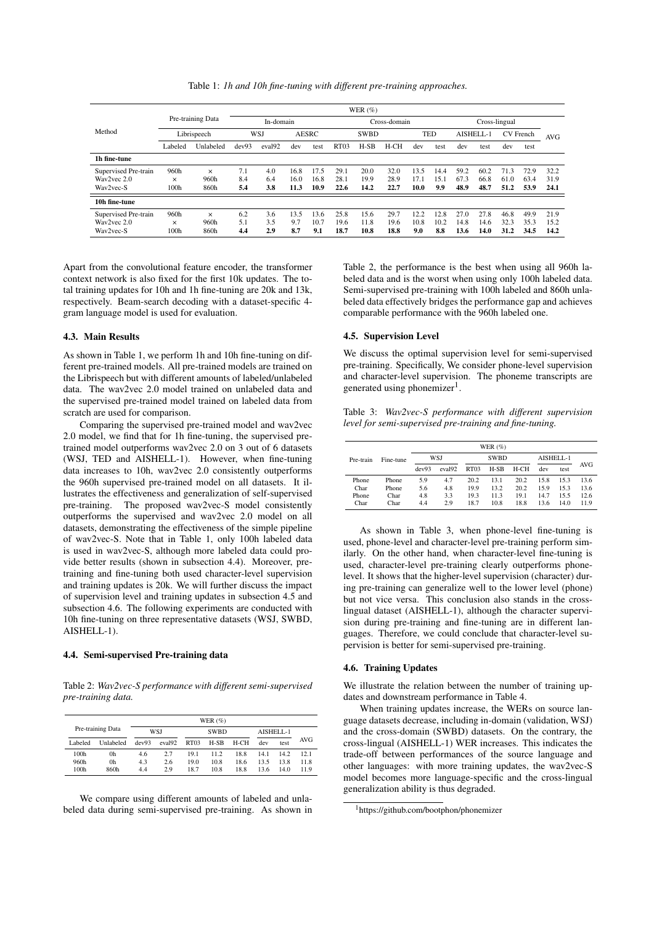Table 1: *1h and 10h fine-tuning with different pre-training approaches.*

<span id="page-2-0"></span>

|                      | WER $(\%)$        |           |                     |                    |             |              |                  |            |      |               |      |           |      |      |      |      |
|----------------------|-------------------|-----------|---------------------|--------------------|-------------|--------------|------------------|------------|------|---------------|------|-----------|------|------|------|------|
|                      | Pre-training Data |           | In-domain           |                    |             | Cross-domain |                  |            |      | Cross-lingual |      |           |      |      |      |      |
| Method               | Librispeech       |           | WSJ<br><b>AESRC</b> |                    | <b>SWBD</b> |              |                  | <b>TED</b> |      | AISHELL-1     |      | CV French |      | AVG  |      |      |
|                      | Labeled           | Unlabeled | dev93               | eval <sub>92</sub> | dev         | test         | RT <sub>03</sub> | $H-SB$     | H-CH | dev           | test | dev       | test | dev  | test |      |
| 1h fine-tune         |                   |           |                     |                    |             |              |                  |            |      |               |      |           |      |      |      |      |
| Supervised Pre-train | 960h              | $\times$  | 7.1                 | 4.0                | 16.8        | 17.5         | 29.1             | 20.0       | 32.0 | 13.5          | 14.4 | 59.2      | 60.2 | 71.3 | 72.9 | 32.2 |
| Way2yec 2.0          | $\times$          | 960h      | 8.4                 | 6.4                | 16.0        | 16.8         | 28.1             | 19.9       | 28.9 | 17.1          | 15.1 | 67.3      | 66.8 | 61.0 | 63.4 | 31.9 |
| Way2yec-S            | 100h              | 860h      | 5.4                 | 3.8                | 11.3        | 10.9         | 22.6             | 14.2       | 22.7 | 10.0          | 9.9  | 48.9      | 48.7 | 51.2 | 53.9 | 24.1 |
| 10h fine-tune        |                   |           |                     |                    |             |              |                  |            |      |               |      |           |      |      |      |      |
| Supervised Pre-train | 960h              | $\times$  | 6.2                 | 3.6                | 13.5        | 13.6         | 25.8             | 15.6       | 29.7 | 12.2          | 12.8 | 27.0      | 27.8 | 46.8 | 49.9 | 21.9 |
| Way2yec 2.0          | $\times$          | 960h      | 5.1                 | 3.5                | 9.7         | 10.7         | 19.6             | 11.8       | 19.6 | 10.8          | 10.2 | 14.8      | 14.6 | 32.3 | 35.3 | 15.2 |
| Wav2vec-S            | 100h              | 860h      | 4.4                 | 2.9                | 8.7         | 9.1          | 18.7             | 10.8       | 18.8 | 9.0           | 8.8  | 13.6      | 14.0 | 31.2 | 34.5 | 14.2 |

Apart from the convolutional feature encoder, the transformer context network is also fixed for the first 10k updates. The total training updates for 10h and 1h fine-tuning are 20k and 13k, respectively. Beam-search decoding with a dataset-specific 4 gram language model is used for evaluation.

#### 4.3. Main Results

As shown in [Table 1,](#page-2-0) we perform 1h and 10h fine-tuning on different pre-trained models. All pre-trained models are trained on the Librispeech but with different amounts of labeled/unlabeled data. The wav2vec 2.0 model trained on unlabeled data and the supervised pre-trained model trained on labeled data from scratch are used for comparison.

Comparing the supervised pre-trained model and wav2vec 2.0 model, we find that for 1h fine-tuning, the supervised pretrained model outperforms wav2vec 2.0 on 3 out of 6 datasets (WSJ, TED and AISHELL-1). However, when fine-tuning data increases to 10h, wav2vec 2.0 consistently outperforms the 960h supervised pre-trained model on all datasets. It illustrates the effectiveness and generalization of self-supervised pre-training. The proposed wav2vec-S model consistently outperforms the supervised and wav2vec 2.0 model on all datasets, demonstrating the effectiveness of the simple pipeline of wav2vec-S. Note that in [Table 1,](#page-2-0) only 100h labeled data is used in wav2vec-S, although more labeled data could provide better results (shown in [subsection 4.4\)](#page-2-1). Moreover, pretraining and fine-tuning both used character-level supervision and training updates is 20k. We will further discuss the impact of supervision level and training updates in [subsection 4.5](#page-2-2) and [subsection 4.6.](#page-2-3) The following experiments are conducted with 10h fine-tuning on three representative datasets (WSJ, SWBD, AISHELL-1).

# <span id="page-2-1"></span>4.4. Semi-supervised Pre-training data

<span id="page-2-4"></span>Table 2: *Wav2vec-S performance with different semi-supervised pre-training data.*

|                   |           |       |                    |                  | WER $(\%)$  |        |           |      |            |
|-------------------|-----------|-------|--------------------|------------------|-------------|--------|-----------|------|------------|
| Pre-training Data |           | WSJ   |                    |                  | <b>SWBD</b> |        | AISHELL-1 |      |            |
| Labeled           | Unlabeled | dev93 | eval <sub>92</sub> | RT <sub>03</sub> | $H-SB$      | $H-CH$ | dev       | test | <b>AVG</b> |
| 100 <sub>h</sub>  | 0h        | 4.6   | 2.7                | 19.1             | 11.2        | 18.8   | 14.1      | 14.2 | 12.1       |
| 960h              | 0h        | 4.3   | 2.6                | 19.0             | 10.8        | 18.6   | 13.5      | 13.8 | 11.8       |
| 100 <sub>h</sub>  | 860h      | 4.4   | 2.9                | 18.7             | 10.8        | 18.8   | 13.6      | 14.0 | 11.9       |

We compare using different amounts of labeled and unlabeled data during semi-supervised pre-training. As shown in [Table 2,](#page-2-4) the performance is the best when using all 960h labeled data and is the worst when using only 100h labeled data. Semi-supervised pre-training with 100h labeled and 860h unlabeled data effectively bridges the performance gap and achieves comparable performance with the 960h labeled one.

### <span id="page-2-2"></span>4.5. Supervision Level

We discuss the optimal supervision level for semi-supervised pre-training. Specifically, We consider phone-level supervision and character-level supervision. The phoneme transcripts are generated using phonemizer<sup>[1](#page-2-5)</sup>.

<span id="page-2-6"></span>Table 3: *Wav2vec-S performance with different supervision level for semi-supervised pre-training and fine-tuning.*

|           |           | WER $(%)$ |                    |                  |             |        |           |      |            |  |  |
|-----------|-----------|-----------|--------------------|------------------|-------------|--------|-----------|------|------------|--|--|
| Pre-train | Fine-tune |           | WSJ                |                  | <b>SWBD</b> |        | AISHELL-1 |      |            |  |  |
|           |           | dev93     | eval <sub>92</sub> | RT <sub>03</sub> | $H-SB$      | $H-CH$ | dev       | test | <b>AVG</b> |  |  |
| Phone     | Phone     | 5.9       | 4.7                | 20.2             | 13.1        | 20.2   | 15.8      | 15.3 | 13.6       |  |  |
| Char      | Phone     | 5.6       | 4.8                | 19.9             | 13.2        | 20.2   | 15.9      | 15.3 | 13.6       |  |  |
| Phone     | Char      | 4.8       | 3.3                | 19.3             | 11.3        | 19.1   | 14.7      | 15.5 | 12.6       |  |  |
| Char      | Char      | 4.4       | 2.9                | 18.7             | 10.8        | 18.8   | 13.6      | 14.0 | 11.9       |  |  |

As shown in [Table 3,](#page-2-6) when phone-level fine-tuning is used, phone-level and character-level pre-training perform similarly. On the other hand, when character-level fine-tuning is used, character-level pre-training clearly outperforms phonelevel. It shows that the higher-level supervision (character) during pre-training can generalize well to the lower level (phone) but not vice versa. This conclusion also stands in the crosslingual dataset (AISHELL-1), although the character supervision during pre-training and fine-tuning are in different languages. Therefore, we could conclude that character-level supervision is better for semi-supervised pre-training.

#### <span id="page-2-3"></span>4.6. Training Updates

We illustrate the relation between the number of training updates and downstream performance in [Table 4.](#page-3-0)

When training updates increase, the WERs on source language datasets decrease, including in-domain (validation, WSJ) and the cross-domain (SWBD) datasets. On the contrary, the cross-lingual (AISHELL-1) WER increases. This indicates the trade-off between performances of the source language and other languages: with more training updates, the wav2vec-S model becomes more language-specific and the cross-lingual generalization ability is thus degraded.

<span id="page-2-5"></span><sup>1</sup>https://github.com/bootphon/phonemizer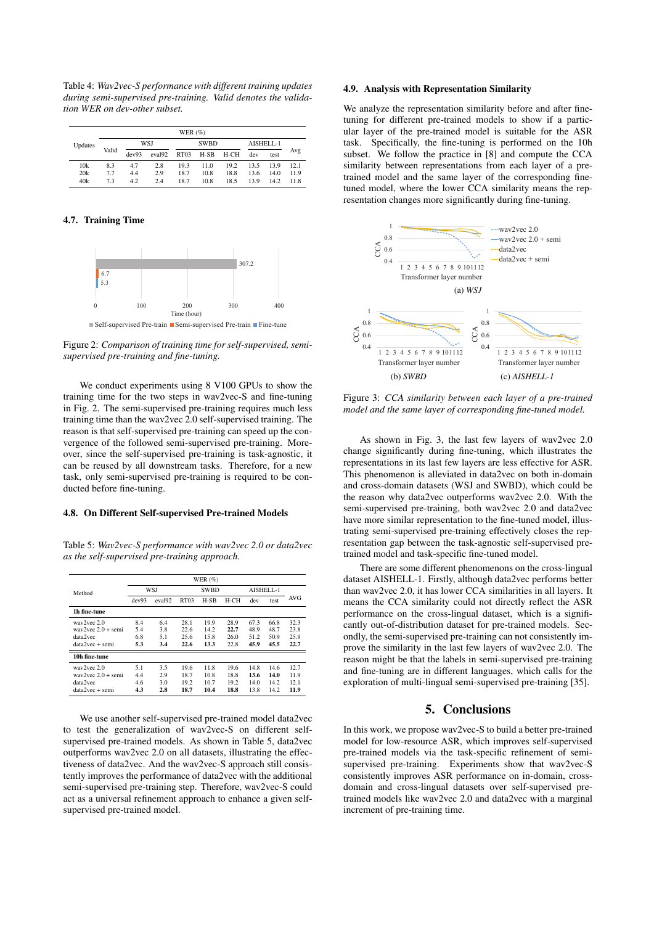<span id="page-3-0"></span>Table 4: *Wav2vec-S performance with different training updates during semi-supervised pre-training. Valid denotes the validation WER on dev-other subset.*

|         |       |       |                    | WER $(\% )$      |             |      |           |      |      |  |
|---------|-------|-------|--------------------|------------------|-------------|------|-----------|------|------|--|
| Updates | Valid |       | WSJ                |                  | <b>SWBD</b> |      | AISHELL-1 |      |      |  |
|         |       | dev93 | eval <sub>92</sub> | RT <sub>03</sub> | $H-SB$      | H-CH | dev       | test | Avg  |  |
| 10k     | 8.3   | 4.7   | 2.8                | 19.3             | 11.0        | 19.2 | 13.5      | 13.9 | 12.1 |  |
| 20k     | 7.7   | 4.4   | 2.9                | 18.7             | 10.8        | 18.8 | 13.6      | 14.0 | 11.9 |  |
| 40k     | 73    | 4.2   | 2.4                | 18.7             | 10.8        | 18.5 | 139       | 14.2 | 11.8 |  |

#### 4.7. Training Time

<span id="page-3-1"></span>

Figure 2: *Comparison of training time for self-supervised, semisupervised pre-training and fine-tuning.*

We conduct experiments using 8 V100 GPUs to show the training time for the two steps in wav2vec-S and fine-tuning in [Fig. 2.](#page-3-1) The semi-supervised pre-training requires much less training time than the wav2vec 2.0 self-supervised training. The reason is that self-supervised pre-training can speed up the convergence of the followed semi-supervised pre-training. Moreover, since the self-supervised pre-training is task-agnostic, it can be reused by all downstream tasks. Therefore, for a new task, only semi-supervised pre-training is required to be conducted before fine-tuning.

### 4.8. On Different Self-supervised Pre-trained Models

<span id="page-3-2"></span>Table 5: *Wav2vec-S performance with wav2vec 2.0 or data2vec as the self-supervised pre-training approach.*

|                      | WER $(\%)$ |            |                  |             |        |           |      |            |  |  |
|----------------------|------------|------------|------------------|-------------|--------|-----------|------|------------|--|--|
| Method               |            | <b>WSJ</b> |                  | <b>SWBD</b> |        | AISHELL-1 |      |            |  |  |
|                      | dev93      | eval92     | RT <sub>03</sub> | $H-SB$      | $H-CH$ | dev       | test | <b>AVG</b> |  |  |
| 1h fine-tune         |            |            |                  |             |        |           |      |            |  |  |
| way2yec 2.0          | 8.4        | 6.4        | 28.1             | 19.9        | 28.9   | 67.3      | 66.8 | 32.3       |  |  |
| way2yec $2.0 +$ semi | 5.4        | 3.8        | 22.6             | 14.2        | 22.7   | 48.9      | 48.7 | 23.8       |  |  |
| data2vec             | 6.8        | 5.1        | 25.6             | 15.8        | 26.0   | 51.2      | 50.9 | 25.9       |  |  |
| $data2vec + semi$    | 5.3        | 3.4        | 22.6             | 13.3        | 22.8   | 45.9      | 45.5 | 22.7       |  |  |
| 10h fine-tune        |            |            |                  |             |        |           |      |            |  |  |
| way2yec 2.0          | 5.1        | 3.5        | 19.6             | 11.8        | 19.6   | 14.8      | 14.6 | 12.7       |  |  |
| way2yec $2.0 +$ semi | 4.4        | 2.9        | 18.7             | 10.8        | 18.8   | 13.6      | 14.0 | 11.9       |  |  |
| data2vec             | 4.6        | 3.0        | 19.2             | 10.7        | 19.2   | 14.0      | 14.2 | 12.1       |  |  |
| data2vec + semi      | 4.3        | 2.8        | 18.7             | 10.4        | 18.8   | 13.8      | 14.2 | 11.9       |  |  |

We use another self-supervised pre-trained model data2vec to test the generalization of wav2vec-S on different selfsupervised pre-trained models. As shown in [Table 5,](#page-3-2) data2vec outperforms wav2vec 2.0 on all datasets, illustrating the effectiveness of data2vec. And the wav2vec-S approach still consistently improves the performance of data2vec with the additional semi-supervised pre-training step. Therefore, wav2vec-S could act as a universal refinement approach to enhance a given selfsupervised pre-trained model.

### 4.9. Analysis with Representation Similarity

We analyze the representation similarity before and after finetuning for different pre-trained models to show if a particular layer of the pre-trained model is suitable for the ASR task. Specifically, the fine-tuning is performed on the 10h subset. We follow the practice in [\[8\]](#page-4-7) and compute the CCA similarity between representations from each layer of a pretrained model and the same layer of the corresponding finetuned model, where the lower CCA similarity means the representation changes more significantly during fine-tuning.

<span id="page-3-3"></span>

Figure 3: *CCA similarity between each layer of a pre-trained model and the same layer of corresponding fine-tuned model.*

As shown in [Fig. 3,](#page-3-3) the last few layers of wav2vec 2.0 change significantly during fine-tuning, which illustrates the representations in its last few layers are less effective for ASR. This phenomenon is alleviated in data2vec on both in-domain and cross-domain datasets (WSJ and SWBD), which could be the reason why data2vec outperforms wav2vec 2.0. With the semi-supervised pre-training, both wav2vec 2.0 and data2vec have more similar representation to the fine-tuned model, illustrating semi-supervised pre-training effectively closes the representation gap between the task-agnostic self-supervised pretrained model and task-specific fine-tuned model.

There are some different phenomenons on the cross-lingual dataset AISHELL-1. Firstly, although data2vec performs better than wav2vec 2.0, it has lower CCA similarities in all layers. It means the CCA similarity could not directly reflect the ASR performance on the cross-lingual dataset, which is a significantly out-of-distribution dataset for pre-trained models. Secondly, the semi-supervised pre-training can not consistently improve the similarity in the last few layers of wav2vec 2.0. The reason might be that the labels in semi-supervised pre-training and fine-tuning are in different languages, which calls for the exploration of multi-lingual semi-supervised pre-training [\[35\]](#page-4-34).

# 5. Conclusions

In this work, we propose wav2vec-S to build a better pre-trained model for low-resource ASR, which improves self-supervised pre-trained models via the task-specific refinement of semisupervised pre-training. Experiments show that wav2vec-S consistently improves ASR performance on in-domain, crossdomain and cross-lingual datasets over self-supervised pretrained models like wav2vec 2.0 and data2vec with a marginal increment of pre-training time.